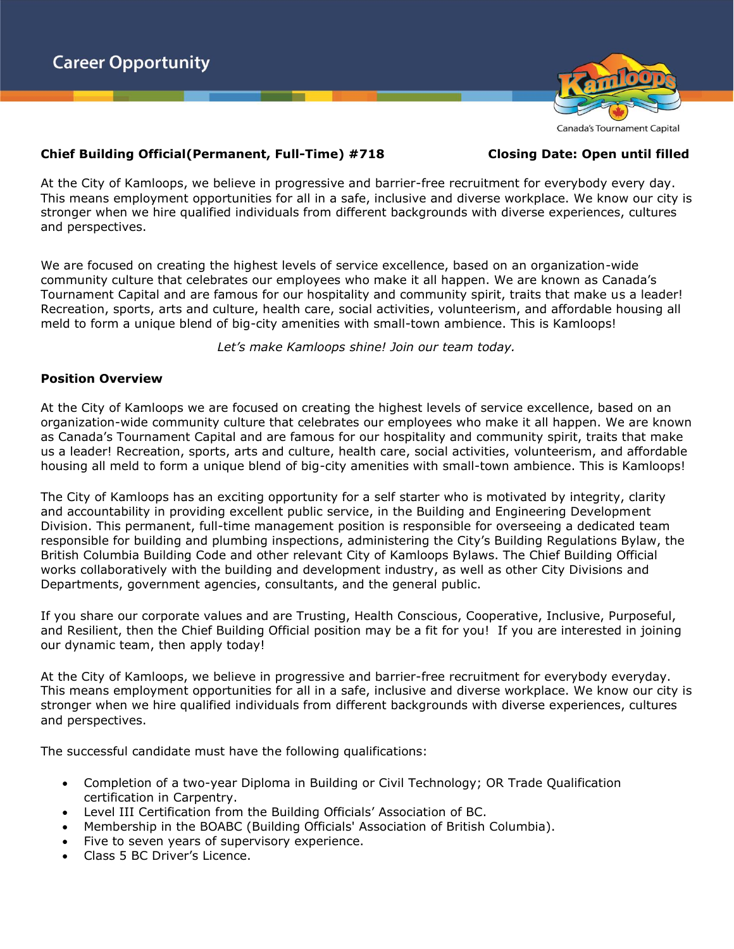



**Canada's Tournament Capital** 

## **Chief Building Official(Permanent, Full-Time) #718 Closing Date: Open until filled**

At the City of Kamloops, we believe in progressive and barrier-free recruitment for everybody every day. This means employment opportunities for all in a safe, inclusive and diverse workplace. We know our city is stronger when we hire qualified individuals from different backgrounds with diverse experiences, cultures and perspectives.

We are focused on creating the highest levels of service excellence, based on an organization-wide community culture that celebrates our employees who make it all happen. We are known as Canada's Tournament Capital and are famous for our hospitality and community spirit, traits that make us a leader! Recreation, sports, arts and culture, health care, social activities, volunteerism, and affordable housing all meld to form a unique blend of big-city amenities with small-town ambience. This is Kamloops!

*Let's make Kamloops shine! Join our team today.*

## **Position Overview**

At the City of Kamloops we are focused on creating the highest levels of service excellence, based on an organization-wide community culture that celebrates our employees who make it all happen. We are known as Canada's Tournament Capital and are famous for our hospitality and community spirit, traits that make us a leader! Recreation, sports, arts and culture, health care, social activities, volunteerism, and affordable housing all meld to form a unique blend of big-city amenities with small-town ambience. This is Kamloops!

The City of Kamloops has an exciting opportunity for a self starter who is motivated by integrity, clarity and accountability in providing excellent public service, in the Building and Engineering Development Division. This permanent, full-time management position is responsible for overseeing a dedicated team responsible for building and plumbing inspections, administering the City's Building Regulations Bylaw, the British Columbia Building Code and other relevant City of Kamloops Bylaws. The Chief Building Official works collaboratively with the building and development industry, as well as other City Divisions and Departments, government agencies, consultants, and the general public.

If you share our corporate values and are Trusting, Health Conscious, Cooperative, Inclusive, Purposeful, and Resilient, then the Chief Building Official position may be a fit for you! If you are interested in joining our dynamic team, then apply today!

At the City of Kamloops, we believe in progressive and barrier-free recruitment for everybody everyday. This means employment opportunities for all in a safe, inclusive and diverse workplace. We know our city is stronger when we hire qualified individuals from different backgrounds with diverse experiences, cultures and perspectives.

The successful candidate must have the following qualifications:

- Completion of a two-year Diploma in Building or Civil Technology; OR Trade Qualification certification in Carpentry.
- Level III Certification from the Building Officials' Association of BC.
- Membership in the BOABC (Building Officials' Association of British Columbia).
- Five to seven years of supervisory experience.
- Class 5 BC Driver's Licence.